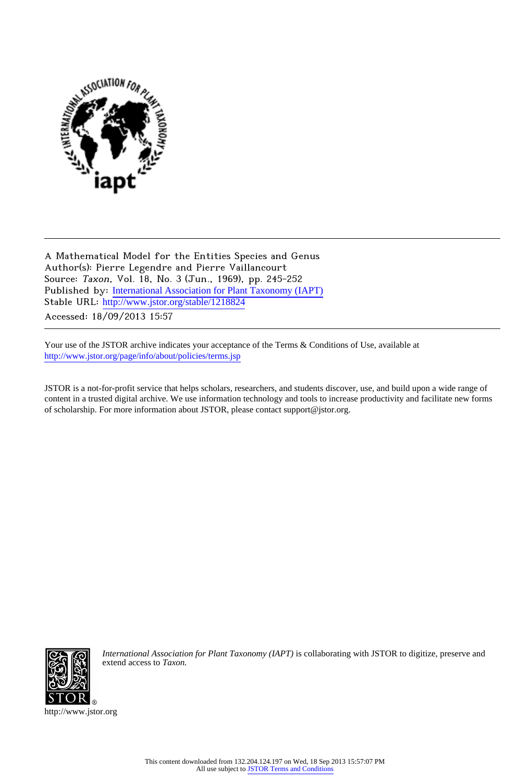

A Mathematical Model for the Entities Species and Genus Author(s): Pierre Legendre and Pierre Vaillancourt Source: Taxon, Vol. 18, No. 3 (Jun., 1969), pp. 245-252 Published by: [International Association for Plant Taxonomy \(IAPT\)](http://www.jstor.org/action/showPublisher?publisherCode=iapt) Stable URL: [http://www.jstor.org/stable/1218824](http://www.jstor.org/stable/1218824?origin=JSTOR-pdf)

Accessed: 18/09/2013 15:57

Your use of the JSTOR archive indicates your acceptance of the Terms & Conditions of Use, available at <http://www.jstor.org/page/info/about/policies/terms.jsp>

JSTOR is a not-for-profit service that helps scholars, researchers, and students discover, use, and build upon a wide range of content in a trusted digital archive. We use information technology and tools to increase productivity and facilitate new forms of scholarship. For more information about JSTOR, please contact support@jstor.org.



*International Association for Plant Taxonomy (IAPT)* is collaborating with JSTOR to digitize, preserve and extend access to *Taxon.*

http://www.jstor.org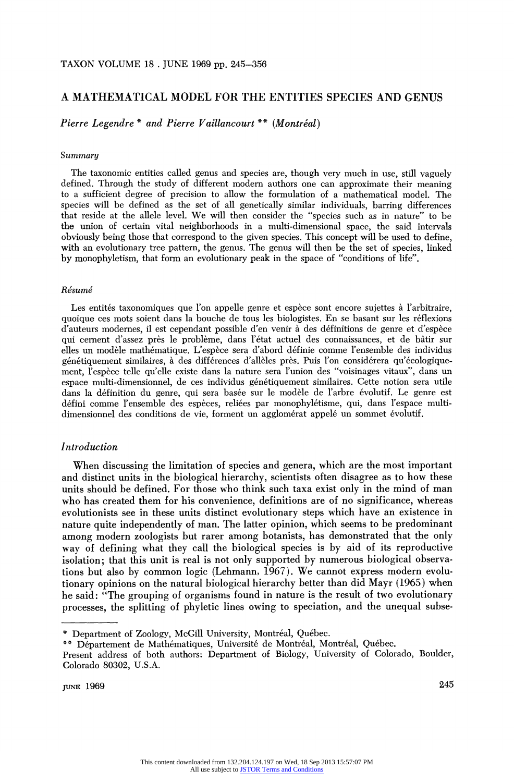## **A MATHEMATICAL MODEL FOR THE ENTITIES SPECIES AND GENUS**

**Pierre Legendre** \* and Pierre Vaillancourt \*\* (Montréal)

#### **Summary**

**The taxonomic entities called genus and species are, though very much in use, still vaguely defined. Through the study of different modem authors one can approximate their meaning to a sufficient degree of precision to allow the formulation of a mathematical model. The species will be defined as the set of all genetically similar individuals, barring differences that reside at the allele level. We will then consider the "species such as in nature" to be the union of certain vital neighborhoods in a multi-dimensional space, the said intervals obviously being those that correspond to the given species. This concept will be used to define, with an evolutionary tree pattern, the genus. The genus will then be the set of species, linked by monophyletism, that form an evolutionary peak in the space of "conditions of life".** 

#### **Resume**

Les entités taxonomiques que l'on appelle genre et espèce sont encore sujettes à l'arbitraire, **quoique ces mots soient dans la bouche de tous les biologistes. En se basant sur les reflexions d'auteurs modernes, il est cependant possible d'en venir a des definitions de genre et d'espece qui cement d'assez pres le probleme, dans l'etat actuel des connaissances, et de batir sur elles un modele mathematique. L'espece sera d'abord definie comme l'ensemble des individus genetiquement similaires, a des differences d'alleles pres. Puis l'on considerera qu'ecologiquement, l'espece telle qu'elle existe dans la nature sera l'union des "voisinages vitaux", dans un**  espace multi-dimensionnel, de ces individus génétiquement similaires. Cette notion sera utile dans la définition du genre, qui sera basée sur le modèle de l'arbre évolutif. Le genre est **defini comme l'ensemble des especes, reliees par monophyletisme, qui, dans l'espace multi**dimensionnel des conditions de vie, forment un agglomérat appelé un sommet évolutif.

### **Introduction**

**When discussing the limitation of species and genera, which are the most important and distinct units in the biological hierarchy, scientists often disagree as to how these units should be defined. For those who think such taxa exist only in the mind of man who has created them for his convenience, definitions are of no significance, whereas evolutionists see in these units distinct evolutionary steps which have an existence in nature quite independently of man. The latter opinion, which seems to be predominant among modern zoologists but rarer among botanists, has demonstrated that the only way of defining what they call the biological species is by aid of its reproductive isolation; that this unit is real is not only supported by numerous biological observations but also by common logic (Lehmann, 1967). We cannot express modern evolutionary opinions on the natural biological hierarchy better than did Mayr (1965) when he said: "The grouping of organisms found in nature is the result of two evolutionary processes, the splitting of phyletic lines owing to speciation, and the unequal subse-** 

**<sup>\*</sup> Department of Zoology, McGill University, Montreal, Quebec.** 

**<sup>\*\*</sup> Departement de Mathematiques, Universite de Montreal, Montreal, Quebec.** 

**Present address of both authors: Department of Biology, University of Colorado, Boulder, Colorado 80302, U.S.A.**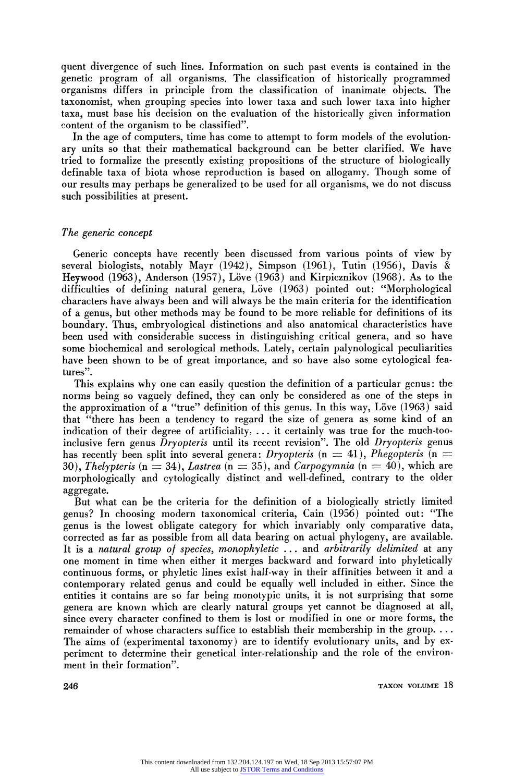**quent divergence of such lines. Information on such past events is contained in the genetic program of all organisms. The classification of historically programmed organisms differs in principle from the classification of inanimate objects. The taxonomist, when grouping species into lower taxa and such lower taxa into higher taxa, must base his decision on the evaluation of the historically given information content of the organism to be classified".** 

**In the age of computers, time has come to attempt to form models of the evolutionary units so that their mathematical background can be better clarified. We have tried to formalize the presently existing propositions of the structure of biologically definable taxa of biota whose reproduction is based on allogamy. Though some of our results may perhaps be generalized to be used for all organisms, we do not discuss such possibilities at present.** 

### **The generic concept**

**Generic concepts have recently been discussed from various points of view by several biologists, notably Mayr (1942), Simpson (1961), Tutin (1956), Davis & Heywood (1963), Anderson (1957), Love (1963) and Kirpicznikov (1968). As to the**  difficulties of defining natural genera, Löve (1963) pointed out: "Morphological **characters have always been and will always be the main criteria for the identification of a genus, but other methods may be found to be more reliable for definitions of its boundary. Thus, embryological distinctions and also anatomical characteristics have been used with considerable success in distinguishing critical genera, and so have some biochemical and serological methods. Lately, certain palynological peculiarities have been shown to be of great importance, and so have also some cytological features".** 

**This explains why one can easily question the definition of a particular genus: the norms being so vaguely defined, they can only be considered as one of the steps in**  the approximation of a "true" definition of this genus. In this way, Löve (1963) said **that "there has been a tendency to regard the size of genera as some kind of an**  indication of their degree of artificiality, ... it certainly was true for the much-tooinclusive fern genus *Dryopteris* until its recent revision". The old *Dryopteris* genus has recently been split into several genera: Dryopteris  $(n = 41)$ , Phegopteris  $(n = 1)$ 30), Thelypteris ( $n = 34$ ), Lastrea ( $n = 35$ ), and Carpogymnia ( $n = 40$ ), which are **morphologically and cytologically distinct and well-defined, contrary to the older aggregate.** 

**But what can be the criteria for the definition of a biologically strictly limited genus? In choosing modern taxonomical criteria, Cain (1956) pointed out: "The genus is the lowest obligate category for which invariably only comparative data, corrected as far as possible from all data bearing on actual phylogeny, are available. It is a natural group of species, monophyletic ... and arbitrarily delimited at any one moment in time when either it merges backward and forward into phyletically continuous forms, or phyletic lines exist half-way in their affinities between it and a contemporary related genus and could be equally well included in either. Since the entities it contains are so far being monotypic units, it is not surprising that some genera are known which are clearly natural groups yet cannot be diagnosed at all, since every character confined to them is lost or modified in one or more forms, the remainder of whose characters suffice to establish their membership in the group.... The aims of (experimental taxonomy) are to identify evolutionary units, and by experiment to determine their genetical inter-relationship and the role of the environ**ment in their formation".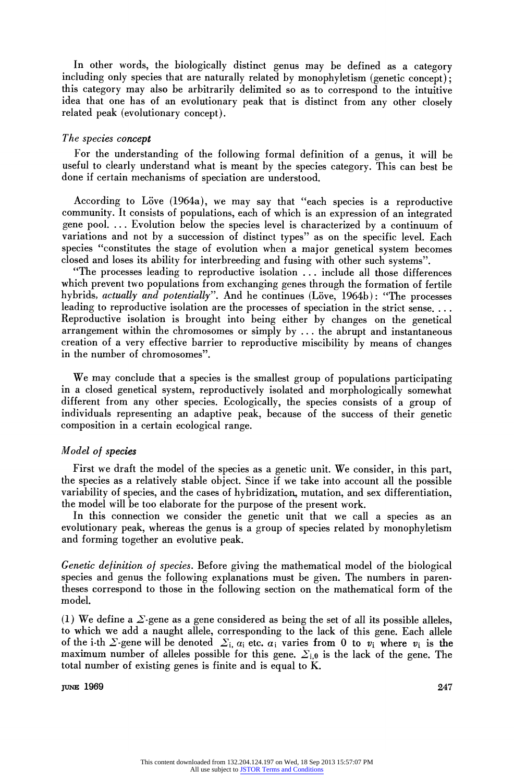**In other words, the biologically distinct genus may be defined as a category**  including only species that are naturally related by monophyletism (genetic concept); **this category may also be arbitrarily delimited so as to correspond to the intuitive idea that one has of an evolutionary peak that is distinct from any other closely related peak (evolutionary concept).** 

#### **The species concept**

**For the understanding of the following formal definition of a genus, it will be useful to clearly understand what is meant by the species category. This can best be done if certain mechanisms of speciation are understood.** 

**According to Love (1964a), we may say that "each species is a reproductive community. It consists of populations, each of which is an expression of an integrated gene pool. .. Evolution below the species level is characterized by a continuum of variations and not by a succession of distinct types" as on the specific level. Each species "constitutes the stage of evolution when a major genetical system becomes closed and loses its ability for interbreeding and fusing with other such systems".** 

**"The processes leading to reproductive isolation ... include all those differences which prevent two populations from exchanging genes through the formation of fertile**  hybrids, actually and potentially". And he continues (Löve, 1964b): "The processes **leading to reproductive isolation are the processes of speciation in the strict sense.... Reproductive isolation is brought into being either by changes on the genetical arrangement within the chromosomes or simply by ... the abrupt and instantaneous creation of a very effective barrier to reproductive miscibility by means of changes in the number of chromosomes".** 

**We may conclude that a species is the smallest group of populations participating in a closed genetical system, reproductively isolated and morphologically somewhat different from any other species. Ecologically, the species consists of a group of individuals representing an adaptive peak, because of the success of their genetic composition in a certain ecological range.** 

#### **Model of species**

**First we draft the model of the species as a genetic unit. We consider, in this part, the species as a relatively stable object. Since if we take into account all the possible variability of species, and the cases of hybridization, mutation, and sex differentiation, the model will be too elaborate for the purpose of the present work.** 

**In this connection we consider the genetic unit that we call a species as an evolutionary peak, whereas the genus is a group of species related by monophyletism and forming together an evolutive peak.** 

**Genetic definition of species. Before giving the mathematical model of the biological species and genus the following explanations must be given. The numbers in parentheses correspond to those in the following section on the mathematical form of the model.** 

(1) We define a  $\Sigma$ -gene as a gene considered as being the set of all its possible alleles, **to which we add a naught allele, corresponding to the lack of this gene. Each allele**  of the i-th  $\Sigma$ -gene will be denoted  $\Sigma_{i, \alpha_i}$  etc.  $\alpha_i$  varies from 0 to  $v_i$  where  $v_i$  is the maximum number of alleles possible for this gene.  $\Sigma_{i,0}$  is the lack of the gene. The **total number of existing genes is finite and is equal to K.** 

**JUNE 1969** 247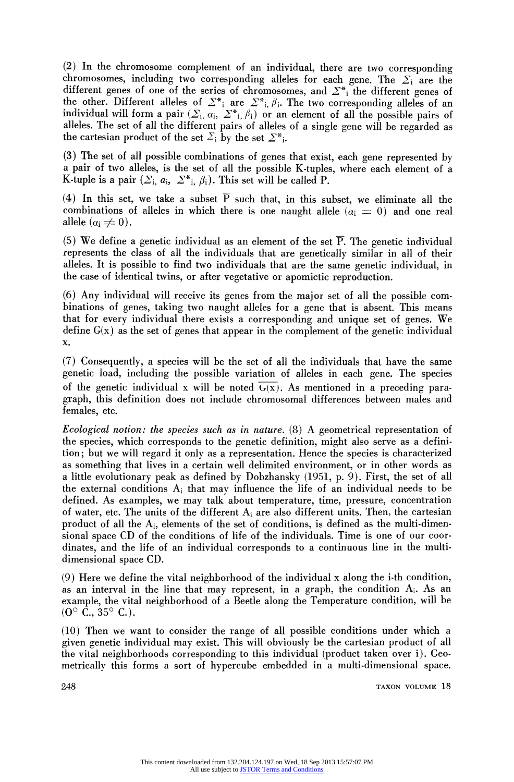**(2) In the chromosome complement of an individual, there are two corresponding**  chromosomes, including two corresponding alleles for each gene. The  $\Sigma_i$  are the different genes of one of the series of chromosomes, and  $\sum_{i=1}^{n}$  the different genes of the other. Different alleles of  $\sum^*$  are  $\sum^*$ ,  $\beta_i$ . The two corresponding alleles of an individual will form a pair  $(\Sigma_i, \alpha_i, \Sigma^*_{i}, \beta_i)$  or an element of all the possible pairs of **alleles. The set of all the different pairs of alleles of a single gene will be regarded as**  the cartesian product of the set  $\Sigma_i$  by the set  $\Sigma^*$ .

**(3) The set of all possible combinations of genes that exist, each gene represented by a pair of two alleles, is the set of all the possible K-tuples, where each element of a K-tuple is a pair**  $(\sum_i a_i, \sum_i^* b_i)$ . This set will be called P.

(4) In this set, we take a subset  $\overline{P}$  such that, in this subset, we eliminate all the combinations of alleles in which there is one naught allele  $(a_i = 0)$  and one real allele  $(a_i \neq 0)$ .

**(5) We define a genetic individual as an element of the set P. The genetic individual represents the class of all the individuals that are genetically similar in all of their alleles. It is possible to find two individuals that are the same genetic individual, in the case of identical twins, or after vegetative or apomictic reproduction.** 

**(6) Any individual will receive its genes from the major set of all the possible combinations of genes, taking two naught alleles for a gene that is absent. This means that for every individual there exists a corresponding and unique set of genes. We define G(x) as the set of genes that appear in the complement of the genetic individual x.** 

**(7) Consequently, a species will be the set of all the individuals that have the same genetic load, including the possible variation of alleles in each gene. The species**  of the genetic individual x will be noted  $\overline{G(x)}$ . As mentioned in a preceding para**graph, this definition does not include chromosomal differences between males and females, etc.** 

**Ecological notion: the species such as in nature. (8) A geometrical representation of the species, which corresponds to the genetic definition, might also serve as a definition; but we will regard it only as a representation. Hence the species is characterized as something that lives in a certain well delimited environment, or in other words as a little evolutionary peak as defined by Dobzhansky (1951, p. 9). First, the set of all the external conditions Ai that may influence the life of an individual needs to be defined. As examples, we may talk about temperature, time, pressure, concentration of water, etc. The units of the different Ai are also different units. Then, the cartesian product of all the Ai, elements of the set of conditions, is defined as the multi-dimensional space CD of the conditions of life of the individuals. Time is one of our coordinates, and the life of an individual corresponds to a continuous line in the multidimensional space CD.** 

**(9) Here we define the vital neighborhood of the individual x along the i-th condition, as an interval in the line that may represent, in a graph, the condition Ai. As an example, the vital neighborhood of a Beetle along the Temperature condition, will be**   $(0^{\circ}$  C.,  $35^{\circ}$  C.).

**(10) Then we want to consider the range of all possible conditions under which a given genetic individual may exist. This will obviously be the cartesian product of all the vital neighborhoods corresponding to this individual (product taken over i). Geometrically this forms a sort of hypercube embedded in a multi-dimensional space.**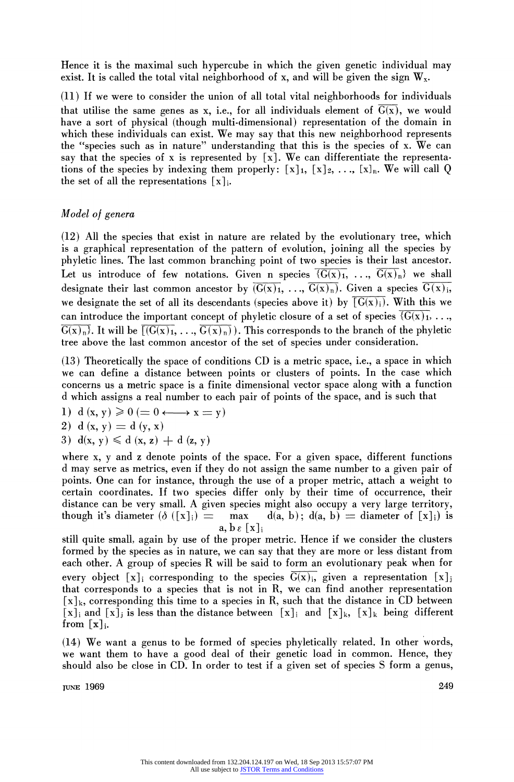**Hence it is the maximal such hypercube in which the given genetic individual may**  exist. It is called the total vital neighborhood of x, and will be given the sign  $W_x$ .

**(11) If we were to consider the union of all total vital neighborhoods for individuals**  that utilise the same genes as x, i.e., for all individuals element of  $\overline{G(x)}$ , we would **have a sort of physical (though multi-dimensional) representation of the domain in which these individuals can exist. We may say that this new neighborhood represents the "species such as in nature" understanding that this is the species of x. We can say that the species of x is represented by [x]. We can differentiate the representa**tions of the species by indexing them properly:  $[x]_1, [x]_2, \ldots, [x]_n$ . We will call Q the set of all the representations  $[x]_i$ .

# **Model of genera**

**(12) All the species that exist in nature are related by the evolutionary tree, which is a graphical representation of the pattern of evolution, joining all the species by phyletic lines. The last common branching point of two species is their last ancestor.**  Let us introduce of few notations. Given n species  $\overline{(G(x)_1, \ldots, G(x)_n)}$  we shall designate their last common ancestor by  $(\overline{G(x)}_1, \ldots, \overline{G(x)}_n)$ . Given a species  $\overline{G(x)}_i$ , we designate the set of all its descendants (species above it) by  $\overline{[G(x)]_i}$ . With this we can introduce the important concept of phyletic closure of a set of species  $(G(x))$ , ...,  $\overline{G(x)_n}$ . It will be  $\overline{G(x)_1}, \ldots, \overline{G(x)_n}$ . This corresponds to the branch of the phyletic **tree above the last common ancestor of the set of species under consideration.** 

**(13) Theoretically the space of conditions CD is a metric space, i.e., a space in which we can define a distance between points or clusters of points. In the case which concerns us a metric space is a finite dimensional vector space along with a function d which assigns a real number to each pair of points of the space, and is such that** 

1) 
$$
d(x, y) \geq 0 \iff x = y
$$

$$
2) d(x, y) = d(y, x)
$$

$$
3) d(x, y) \leqslant d(x, z) + d(z, y)
$$

**where x, y and z denote points of the space. For a given space, different functions d may serve as metrics, even if they do not assign the same number to a given pair of points. One can for instance, through the use of a proper metric, attach a weight to certain coordinates. If two species differ only by their time of occurrence, their**  distance can be very small. A given species might also occupy a very large territory, though it's diameter  $(\delta ([x]_i) = \max d(a, b); d(a, b) = \text{diameter of } [x]_i)$  is  $d(a, b)$ ;  $d(a, b) =$  diameter of  $[x]_i$ ) is  $\mathbf{a}, \mathbf{b} \in [\mathbf{x}]$ 

**still quite small, again by use of the proper metric. Hence if we consider the clusters formed by the species as in nature, we can say that they are more or less distant from each other. A group of species R will be said to form an evolutionary peak when for**  every object [x]<sub>i</sub> corresponding to the species  $\overline{G(x)}$ <sub>i</sub>, given a representation [x]<sub>j</sub> **that corresponds to a species that is not in R, we can find another representation [x]k, corresponding this time to a species in R, such that the distance in CD between**   $[x]_i$  and  $[x]_j$  is less than the distance between  $[x]_i$  and  $[x]_k$ ,  $[x]_k$  being different from  $[x]_i$ .

**(14) We want a genus to be formed of species phyletically related. In other words, we want them to have a good deal of their genetic load in common. Hence, they should also be close in CD. In order to test if a given set of species S form a genus,** 

**JUNE 1969 249**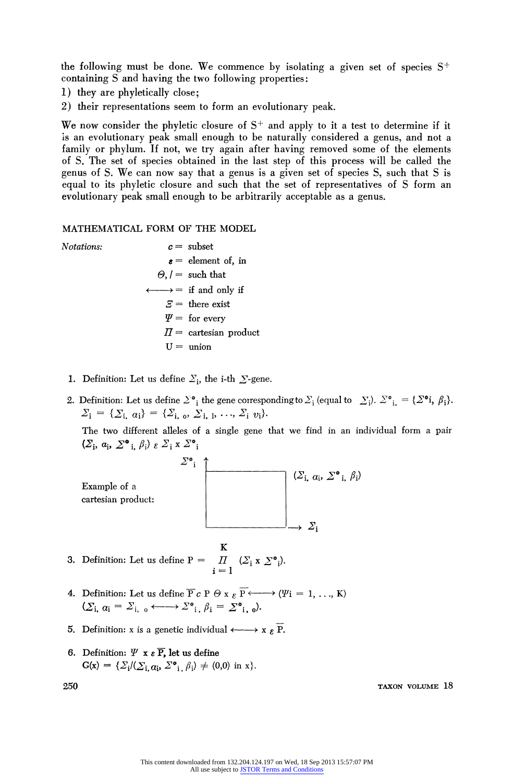**the following must be done. We commence by isolating a given set of species S+ containing S and having the two following properties:** 

- **1) they are phyletically close;**
- **2) their representations seem to form an evolutionary peak.**

We now consider the phyletic closure of  $S^+$  and apply to it a test to determine if it **is an evolutionary peak small enough to be naturally considered a genus, and not a family or phylum. If not, we try again after having removed some of the elements of S. The set of species obtained in the last step of this process will be called the genus of S. We can now say that a genus is a given set of species S, such that S is equal to its phyletic closure and such that the set of representatives of S form an evolutionary peak small enough to be arbitrarily acceptable as a genus.** 

#### **MATHEMATICAL FORM OF THE MODEL**

- **Notations: c= subset**   $\epsilon$  = element of, in  $\Theta$ ,  $\ell$  **=** such that  $\longleftrightarrow$  = if and only if  $E =$  there exist  $\Psi =$  for every  $\Pi$  = cartesian product  $U =$  union
	- **1.** Definition: Let us define  $\Sigma_i$ , the i-th  $\Sigma$ -gene.
	- **2. Definition:** Let us define  $\sum^*$ ; the gene corresponding to  $\sum_i$  (equal to  $\sum_i$ ).  $\sum^*$ ;  $= {\sum^*}i$ ,  $\beta_i$ ).  $\Sigma_{\mathbf{i}} = {\{\Sigma_{\mathbf{i}, \alpha\mathbf{i}}\}} = {\{\Sigma_{\mathbf{i}, \alpha}, \Sigma_{\mathbf{i}, \beta}, \ldots, \Sigma_{\mathbf{i}, \nu\mathbf{i}}\}}.$

**The two different alleles of a single gene that we find in an individual form a pair**   $(\Sigma_i, a_i, \Sigma^{\bullet}$ <sub>i</sub>,  $\beta_i)$   $\varepsilon \Sigma_i$  x  $\Sigma^{\bullet}$ <sub>i</sub>



- **3.** Definition: Let us define  $P = \prod (\sum_i x \sum_i^* i)$ . **i=l**
- **4.** Definition: Let us define  $\overline{P} c P \oplus x \in \overline{P} \longleftrightarrow (i' = 1, \ldots, K)$  $(\Sigma_{\mathbf{i}}, \alpha_{\mathbf{i}} = \Sigma_{\mathbf{i}, \alpha} \longleftrightarrow \Sigma^*_{\mathbf{i}, \beta_{\mathbf{i}}} = \Sigma^*_{\mathbf{i}, \alpha}$ .
- **5.** Definition: x is a genetic individual  $\longleftrightarrow$  x  $\epsilon$ **P**.
- **6.** Definition:  $\Psi \times \varepsilon \overline{P}$ , let us define  $G(x) = {\sum_i}/({\sum_i} \alpha_i, {\sum_i}^* \beta_i) \neq (0,0)$  in x.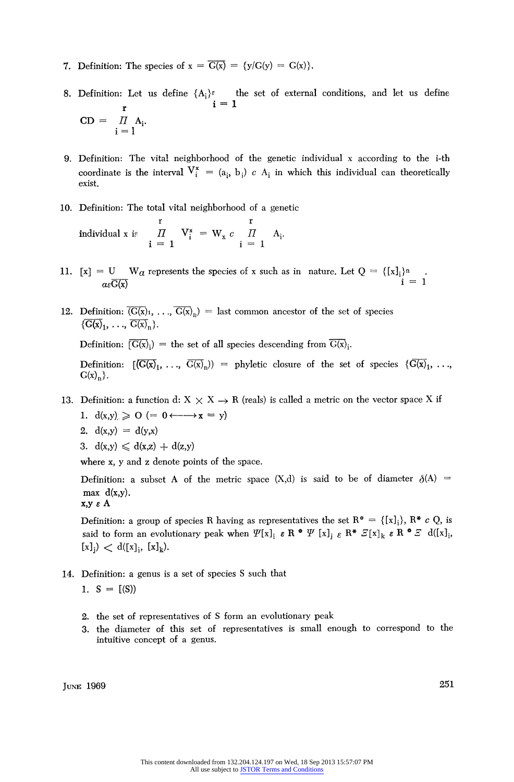- **7.** Definition: The species of  $x = \overline{G(x)} = \{y/G(y) = G(x)\}.$
- **8. Definition: Let us define {Ai}r the set of external conditions, and let us define**   $r \t1=$  $CD = \prod_{i=1}^{\infty} A_i$ .
- **9. Definition: The vital neighborhood of the genetic individual x according to the i-th**  coordinate is the interval  $V_i^* = (a_i, b_i) c A_i$  in which this individual can theoretically **exist.**
- **10. Definition: The total vital neighborhood of a genetic**

**r r individual x** is  $H = V_i^* = W_x c$   $H = A_i$ .  $i = 1$   $i = 1$ 

- **11.**  $[x] = U$  W<sub>a</sub> represents the species of x such as in nature. Let  $Q = \{[x]_i\}^n$  $a\epsilon\overline{G(x)}$  i = 1
- 12. Definition:  $\overline{G(x)}_1, \ldots, \overline{G(x)}_n$  = last common ancestor of the set of species  $\{\overline{G(x)}_1, \ldots, \overline{G(x)}_n\}.$

**Definition:**  $[\overline{G(x)}_i]$  = the set of all species descending from  $\overline{G(x)}_i$ .

**Definition:**  $[(\overline{G(x)}_1, \ldots, \overline{G(x)}_n)] = \text{phyletic closure of the set of species } \{(\overline{G(x)}_1, \ldots, \overline{G(x)}_n)\}$  $G(x)<sub>n</sub>$ .

- 13. Definition: a function d:  $X \times X \rightarrow R$  (reals) is called a metric on the vector space X if
	- 1.  $d(x,y) \ge 0$  (=  $0 \leftarrow \rightarrow x = y$ )
	- 2.  $d(x,y) = d(y,x)$
	- 3.  $d(x,y) \leq d(x,z) + d(z,y)$

**where x, y and z denote points of the space.** 

**Definition:** a subset A of the metric space  $(X,d)$  is said to be of diameter  $\delta(A)$  =  $max d(x,y)$ .

**x,y e A** 

**Definition: a group of species R having as representatives the set**  $R^* = \{[x_i]\}\, R^* c Q$ **, is said to form an evolutionary peak when**  $\Psi[x]_i \in \mathbb{R}^* \Psi[x]_i \in \mathbb{R}^* \mathcal{Z}[x]_k \in \mathbb{R}^* \mathcal{Z}$  **d([x]<sub>i</sub>,**  $[x]_j$ )  $\langle d([x]_j, [x]_k)$ .

- **14. Definition: a genus is a set of species S such that** 
	- 1.  $S = [(S)]$
	- **2. the set of representatives of S form an evolutionary peak**
	- **3. the diameter of this set of representatives is small enough to correspond to the intuitive concept of a genus.**

*PUNE* 1969 *251*